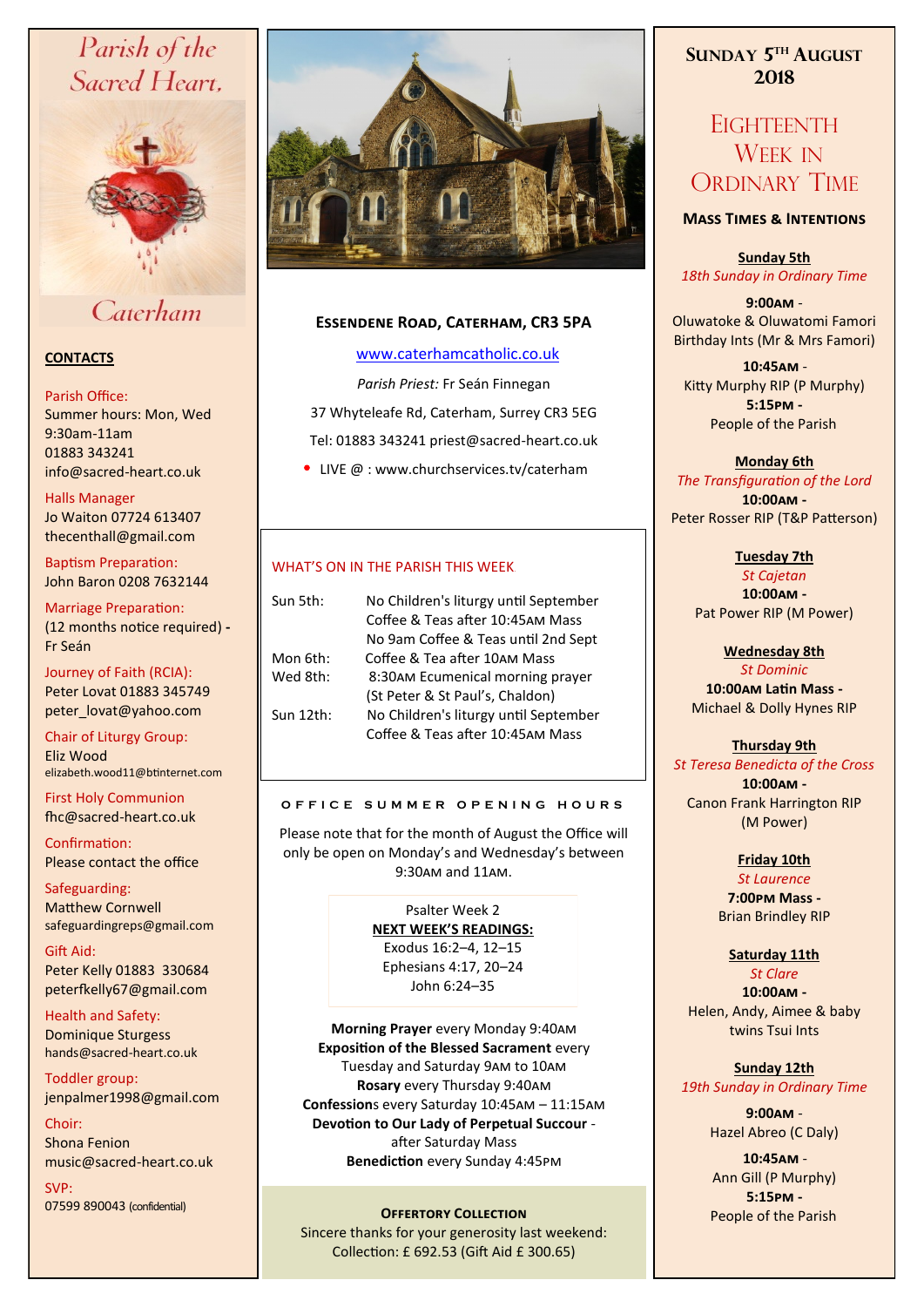# Parish of the Sacred Heart,



## Caterham

## **CONTACTS**

#### Parish Office:

Summer hours: Mon, Wed 9:30am-11am 01883 343241 info@sacred-heart.co.uk .

Halls Manager Jo Waiton 07724 613407 thecenthall@gmail.com

Baptism Preparation: John Baron 0208 7632144

Marriage Preparation: (12 months notice required) **-** Fr Seán

Journey of Faith (RCIA): Peter Lovat 01883 345749 peter\_lovat@yahoo.com

Chair of Liturgy Group: Eliz Wood elizabeth.wood11@btinternet.com

First Holy Communion fhc@sacred-heart.co.uk

Confirmation: Please contact the office

Safeguarding: Matthew Cornwell safeguardingreps@gmail.com

Gift Aid: Peter Kelly 01883 330684 peterfkelly67@gmail.com

Health and Safety: Dominique Sturgess hands@sacred-heart.co.uk

Toddler group: jenpalmer1998@gmail.com

Choir: Shona Fenion music@sacred-heart.co.uk

SVP: 07599 890043 (confidential)



## **Essendene Road, Caterham, CR3 5PA**

#### [www.caterhamcatholic.co.uk](http://Www.caterhamcatholic.co.uk)

*Parish Priest:* Fr Seán Finnegan

37 Whyteleafe Rd, Caterham, Surrey CR3 5EG Tel: 01883 343241 priest@sacred-heart.co.uk

• LIVE @ : www.churchservices.tv/caterham

## WHAT'S ON IN THE PARISH THIS WEEK.

| Sun 5th:  | No Children's liturgy until September |
|-----------|---------------------------------------|
|           | Coffee & Teas after 10:45AM Mass      |
|           | No 9am Coffee & Teas until 2nd Sept   |
| Mon 6th:  | Coffee & Tea after 10AM Mass          |
| Wed 8th:  | 8:30AM Ecumenical morning prayer      |
|           | (St Peter & St Paul's, Chaldon)       |
| Sun 12th: | No Children's liturgy until September |
|           | Coffee & Teas after 10:45AM Mass      |
|           |                                       |

#### **O F F I C E S U M M E R O P E N I N G H O U R S**

Please note that for the month of August the Office will only be open on Monday's and Wednesday's between 9:30am and 11am.

> Psalter Week 2 **NEXT WEEK'S READINGS:**  Exodus 16:2–4, 12–15 Ephesians 4:17, 20–24 John 6:24–35

**Morning Prayer** every Monday 9:40am **Exposition of the Blessed Sacrament** every Tuesday and Saturday 9am to 10am **Rosary** every Thursday 9:40am **Confession**s every Saturday 10:45am – 11:15am **Devotion to Our Lady of Perpetual Succour**  after Saturday Mass **Benediction** every Sunday 4:45pm

### **OFFERTORY COLLECTION People of the Parish**

Sincere thanks for your generosity last weekend: Collection: £ 692.53 (Gift Aid £ 300.65)

## **SUNDAY 5 TH AUGUST 2018**

## **EIGHTEENTH** WEEK IN ORDINARY TIME

#### **Mass Times & Intentions**

**Sunday 5th** *18th Sunday in Ordinary Time*

**9:00am** - Oluwatoke & Oluwatomi Famori Birthday Ints (Mr & Mrs Famori)

.**10:45am** - Kitty Murphy RIP (P Murphy) **5:15pm -** People of the Parish.

## **Monday 6th**  *The Transfiguration of the Lord*

**10:00am -** Peter Rosser RIP (T&P Patterson)

**Tuesday 7th** 

*St Cajetan* **10:00am -** Pat Power RIP (M Power)

> **Wednesday 8th** *St Dominic*

**10:00am Latin Mass -** Michael & Dolly Hynes RIP

## **Thursday 9th**

*St Teresa Benedicta of the Cross* **10:00am -** Canon Frank Harrington RIP (M Power)

## **Friday 10th**

*St Laurence* 

**7:00pm Mass -** Brian Brindley RIP

## **Saturday 11th**

*St Clare* **10:00am -**  Helen, Andy, Aimee & baby twins Tsui Ints

#### **Sunday 12th** *19th Sunday in Ordinary Time*

**9:00am** - Hazel Abreo (C Daly)

.**10:45am** - Ann Gill (P Murphy) **5:15pm -**